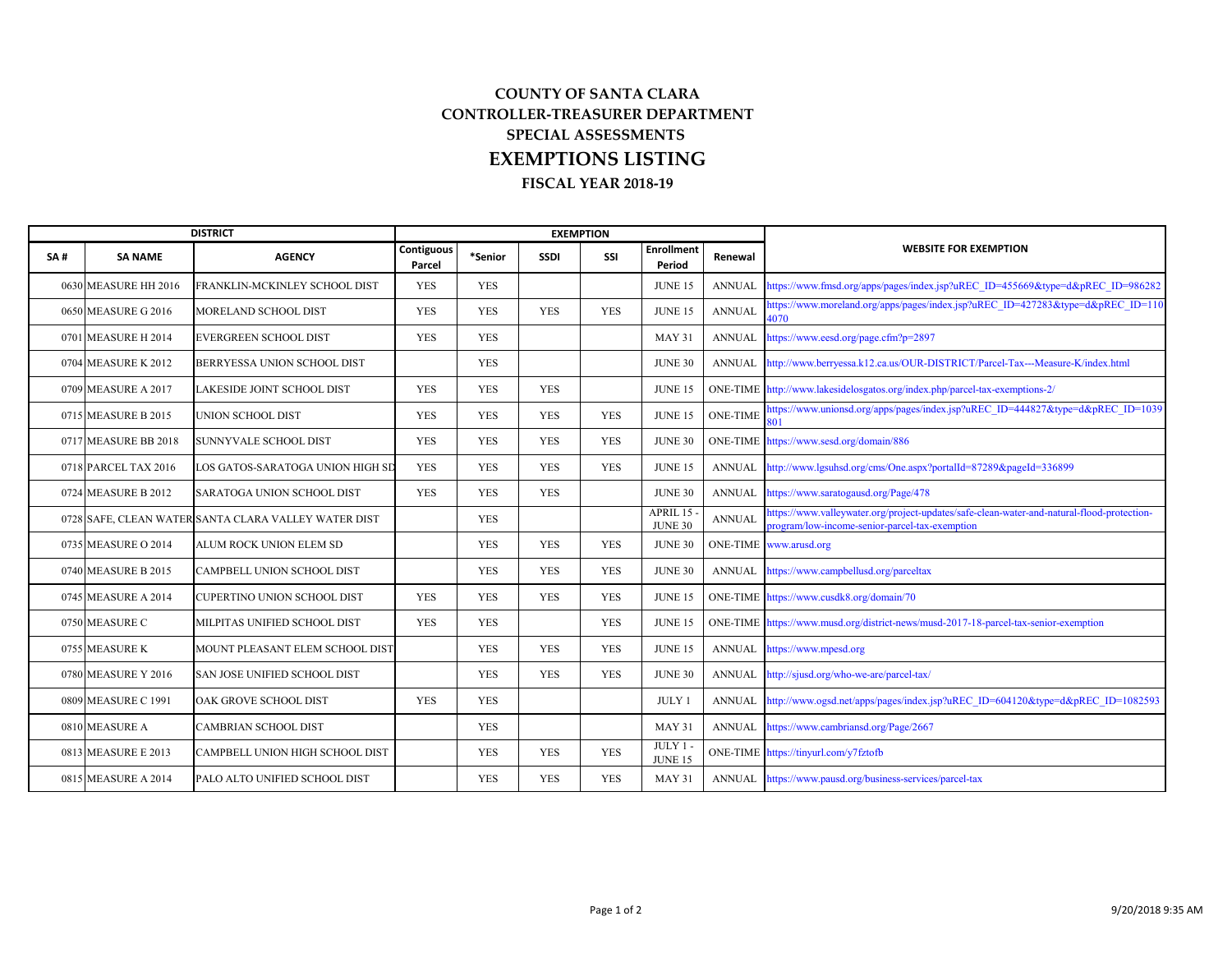## **COUNTY OF SANTA CLARA CONTROLLER‐TREASURER DEPARTMENT SPECIAL ASSESSMENTSFISCAL YEAR 2018‐19 EXEMPTIONS LISTING**

|     | <b>DISTRICT</b>      |                                                      |                      |            | <b>EXEMPTION</b> |            |                             |                 |                                                                                                                                              |
|-----|----------------------|------------------------------------------------------|----------------------|------------|------------------|------------|-----------------------------|-----------------|----------------------------------------------------------------------------------------------------------------------------------------------|
| SA# | <b>SA NAME</b>       | <b>AGENCY</b>                                        | Contiguous<br>Parcel | *Senior    | <b>SSDI</b>      | SSI        | <b>Enrollment</b><br>Period | Renewal         | <b>WEBSITE FOR EXEMPTION</b>                                                                                                                 |
|     | 0630 MEASURE HH 2016 | FRANKLIN-MCKINLEY SCHOOL DIST                        | <b>YES</b>           | <b>YES</b> |                  |            | <b>JUNE 15</b>              | <b>ANNUAL</b>   | https://www.fmsd.org/apps/pages/index.jsp?uREC ID=455669&type=d&pREC ID=986282                                                               |
|     | 0650 MEASURE G 2016  | MORELAND SCHOOL DIST                                 | <b>YES</b>           | <b>YES</b> | <b>YES</b>       | <b>YES</b> | <b>JUNE 15</b>              | <b>ANNUAL</b>   | nttps://www.moreland.org/apps/pages/index.jsp?uREC_ID=427283&type=d&pREC_ID=110<br>4070                                                      |
|     | 0701 MEASURE H 2014  | EVERGREEN SCHOOL DIST                                | <b>YES</b>           | <b>YES</b> |                  |            | MAY 31                      | <b>ANNUAL</b>   | https://www.eesd.org/page.cfm?p=2897                                                                                                         |
|     | 0704 MEASURE K 2012  | BERRYESSA UNION SCHOOL DIST                          |                      | <b>YES</b> |                  |            | <b>JUNE 30</b>              | <b>ANNUAL</b>   | http://www.berryessa.k12.ca.us/OUR-DISTRICT/Parcel-Tax---Measure-K/index.html                                                                |
|     | 0709 MEASURE A 2017  | LAKESIDE JOINT SCHOOL DIST                           | <b>YES</b>           | <b>YES</b> | <b>YES</b>       |            | <b>JUNE 15</b>              |                 | ONE-TIME http://www.lakesidelosgatos.org/index.php/parcel-tax-exemptions-2/                                                                  |
|     | 0715 MEASURE B 2015  | UNION SCHOOL DIST                                    | <b>YES</b>           | <b>YES</b> | <b>YES</b>       | <b>YES</b> | <b>JUNE 15</b>              | <b>ONE-TIME</b> | nttps://www.unionsd.org/apps/pages/index.jsp?uREC ID=444827&type=d&pREC ID=1039                                                              |
|     | 0717 MEASURE BB 2018 | <b>SUNNYVALE SCHOOL DIST</b>                         | <b>YES</b>           | <b>YES</b> | <b>YES</b>       | <b>YES</b> | <b>JUNE 30</b>              |                 | ONE-TIME https://www.sesd.org/domain/886                                                                                                     |
|     | 0718 PARCEL TAX 2016 | LOS GATOS-SARATOGA UNION HIGH SE                     | <b>YES</b>           | <b>YES</b> | <b>YES</b>       | <b>YES</b> | <b>JUNE 15</b>              | <b>ANNUAL</b>   | http://www.lgsuhsd.org/cms/One.aspx?portalId=87289&pageId=336899                                                                             |
|     | 0724 MEASURE B 2012  | SARATOGA UNION SCHOOL DIST                           | <b>YES</b>           | <b>YES</b> | <b>YES</b>       |            | <b>JUNE 30</b>              | <b>ANNUAL</b>   | https://www.saratogausd.org/Page/478                                                                                                         |
|     |                      | 0728 SAFE, CLEAN WATER SANTA CLARA VALLEY WATER DIST |                      | <b>YES</b> |                  |            | APRIL 15<br><b>JUNE 30</b>  | <b>ANNUAL</b>   | nttps://www.valleywater.org/project-updates/safe-clean-water-and-natural-flood-protection-<br>program/low-income-senior-parcel-tax-exemption |
|     | 0735 MEASURE O 2014  | ALUM ROCK UNION ELEM SD                              |                      | <b>YES</b> | <b>YES</b>       | <b>YES</b> | <b>JUNE 30</b>              |                 | ONE-TIME www.arusd.org                                                                                                                       |
|     | 0740 MEASURE B 2015  | CAMPBELL UNION SCHOOL DIST                           |                      | <b>YES</b> | <b>YES</b>       | <b>YES</b> | <b>JUNE 30</b>              | <b>ANNUAL</b>   | https://www.campbellusd.org/parceltax                                                                                                        |
|     | 0745 MEASURE A 2014  | CUPERTINO UNION SCHOOL DIST                          | <b>YES</b>           | <b>YES</b> | <b>YES</b>       | <b>YES</b> | <b>JUNE 15</b>              |                 | ONE-TIME https://www.cusdk8.org/domain/70                                                                                                    |
|     | 0750 MEASURE C       | MILPITAS UNIFIED SCHOOL DIST                         | <b>YES</b>           | <b>YES</b> |                  | <b>YES</b> | <b>JUNE 15</b>              |                 | ONE-TIME https://www.musd.org/district-news/musd-2017-18-parcel-tax-senior-exemption                                                         |
|     | 0755 MEASURE K       | MOUNT PLEASANT ELEM SCHOOL DIST                      |                      | <b>YES</b> | <b>YES</b>       | <b>YES</b> | <b>JUNE 15</b>              | <b>ANNUAL</b>   | https://www.mpesd.org                                                                                                                        |
|     | 0780 MEASURE Y 2016  | SAN JOSE UNIFIED SCHOOL DIST                         |                      | <b>YES</b> | <b>YES</b>       | <b>YES</b> | <b>JUNE 30</b>              | <b>ANNUAL</b>   | http://sjusd.org/who-we-are/parcel-tax/                                                                                                      |
|     | 0809 MEASURE C 1991  | OAK GROVE SCHOOL DIST                                | <b>YES</b>           | <b>YES</b> |                  |            | <b>JULY 1</b>               | <b>ANNUAL</b>   | http://www.ogsd.net/apps/pages/index.jsp?uREC_ID=604120&type=d&pREC_ID=1082593                                                               |
|     | 0810 MEASURE A       | CAMBRIAN SCHOOL DIST                                 |                      | <b>YES</b> |                  |            | <b>MAY 31</b>               | <b>ANNUAL</b>   | https://www.cambriansd.org/Page/2667                                                                                                         |
|     | 0813 MEASURE E 2013  | CAMPBELL UNION HIGH SCHOOL DIST                      |                      | <b>YES</b> | <b>YES</b>       | <b>YES</b> | $JULY1 -$<br><b>JUNE 15</b> |                 | ONE-TIME https://tinyurl.com/y7fztofb                                                                                                        |
|     | 0815 MEASURE A 2014  | PALO ALTO UNIFIED SCHOOL DIST                        |                      | <b>YES</b> | <b>YES</b>       | <b>YES</b> | <b>MAY 31</b>               |                 | ANNUAL https://www.pausd.org/business-services/parcel-tax                                                                                    |